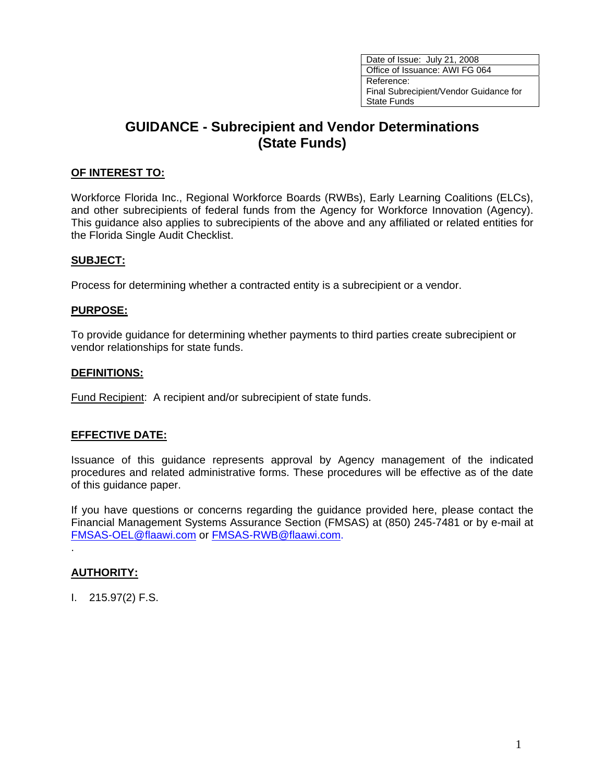Date of Issue: July 21, 2008 Office of Issuance: AWI FG 064 Reference: Final Subrecipient/Vendor Guidance for State Funds

# **GUIDANCE - Subrecipient and Vendor Determinations (State Funds)**

### **OF INTEREST TO:**

Workforce Florida Inc., Regional Workforce Boards (RWBs), Early Learning Coalitions (ELCs), and other subrecipients of federal funds from the Agency for Workforce Innovation (Agency). This guidance also applies to subrecipients of the above and any affiliated or related entities for the Florida Single Audit Checklist.

#### **SUBJECT:**

Process for determining whether a contracted entity is a subrecipient or a vendor.

#### **PURPOSE:**

To provide guidance for determining whether payments to third parties create subrecipient or vendor relationships for state funds.

#### **DEFINITIONS:**

Fund Recipient: A recipient and/or subrecipient of state funds.

#### **EFFECTIVE DATE:**

Issuance of this guidance represents approval by Agency management of the indicated procedures and related administrative forms. These procedures will be effective as of the date of this guidance paper.

If you have questions or concerns regarding the guidance provided here, please contact the Financial Management Systems Assurance Section (FMSAS) at (850) 245-7481 or by e-mail at [FMSAS-OEL@flaawi.com](mailto:FMSAS-OEL@flaawi.com) or [FMSAS-RWB@flaawi.com.](mailto:FMSAS-RWB@awi.state.fl.us)

#### **AUTHORITY:**

.

I. 215.97(2) F.S.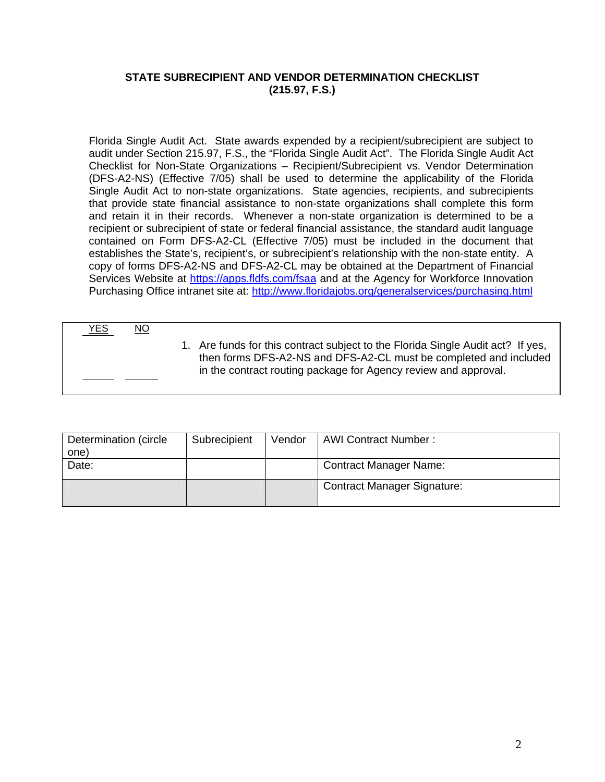## **STATE SUBRECIPIENT AND VENDOR DETERMINATION CHECKLIST (215.97, F.S.)**

Florida Single Audit Act. State awards expended by a recipient/subrecipient are subject to audit under Section 215.97, F.S., the "Florida Single Audit Act". The Florida Single Audit Act Checklist for Non-State Organizations – Recipient/Subrecipient vs. Vendor Determination (DFS-A2-NS) (Effective 7/05) shall be used to determine the applicability of the Florida Single Audit Act to non-state organizations. State agencies, recipients, and subrecipients that provide state financial assistance to non-state organizations shall complete this form and retain it in their records. Whenever a non-state organization is determined to be a recipient or subrecipient of state or federal financial assistance, the standard audit language contained on Form DFS-A2-CL (Effective 7/05) must be included in the document that establishes the State's, recipient's, or subrecipient's relationship with the non-state entity. A copy of forms DFS-A2-NS and DFS-A2-CL may be obtained at the Department of Financial Services Website at <https://apps.fldfs.com/fsaa> and at the Agency for Workforce Innovation Purchasing Office intranet site at:<http://www.floridajobs.org/generalservices/purchasing.html>

YES NO

 1. Are funds for this contract subject to the Florida Single Audit act? If yes, then forms DFS-A2-NS and DFS-A2-CL must be completed and included in the contract routing package for Agency review and approval.

| Subrecipient | Vendor | <b>AWI Contract Number:</b>        |
|--------------|--------|------------------------------------|
|              |        |                                    |
|              |        | <b>Contract Manager Name:</b>      |
|              |        | <b>Contract Manager Signature:</b> |
|              |        |                                    |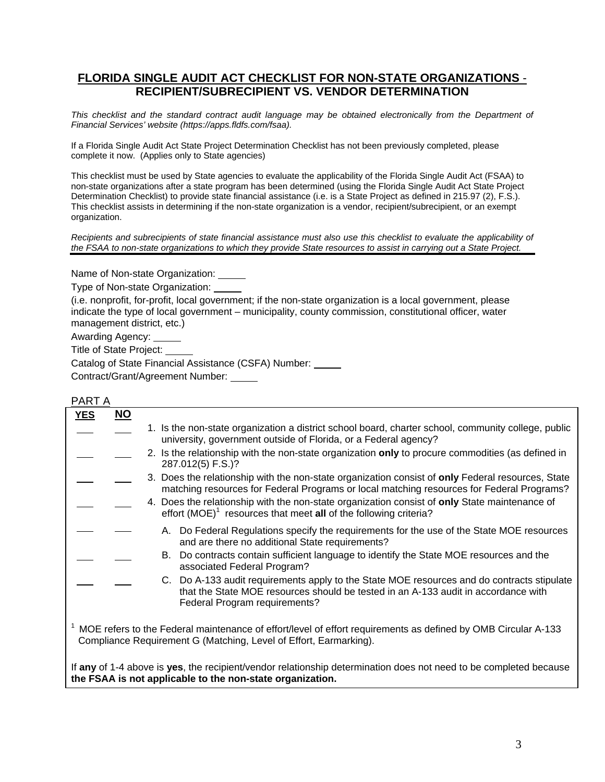# **FLORIDA SINGLE AUDIT ACT CHECKLIST FOR NON-STATE ORGANIZATIONS** - **RECIPIENT/SUBRECIPIENT VS. VENDOR DETERMINATION**

*This checklist and the standard contract audit language may be obtained electronically from the Department of Financial Services' website (https://apps.fldfs.com/fsaa).* 

If a Florida Single Audit Act State Project Determination Checklist has not been previously completed, please complete it now. (Applies only to State agencies)

This checklist must be used by State agencies to evaluate the applicability of the Florida Single Audit Act (FSAA) to non-state organizations after a state program has been determined (using the Florida Single Audit Act State Project Determination Checklist) to provide state financial assistance (i.e. is a State Project as defined in 215.97 (2), F.S.). This checklist assists in determining if the non-state organization is a vendor, recipient/subrecipient, or an exempt organization.

*Recipients and subrecipients of state financial assistance must also use this checklist to evaluate the applicability of the FSAA to non-state organizations to which they provide State resources to assist in carrying out a State Project.* 

Name of Non-state Organization:

Type of Non-state Organization:

(i.e. nonprofit, for-profit, local government; if the non-state organization is a local government, please indicate the type of local government – municipality, county commission, constitutional officer, water management district, etc.)

Awarding Agency:

Title of State Project:

Catalog of State Financial Assistance (CSFA) Number:

Contract/Grant/Agreement Number:

| <b>YES</b>                                                                                                                                                                         | <u>NO</u> |                                                                                                                                                                                                                   |  |  |  |
|------------------------------------------------------------------------------------------------------------------------------------------------------------------------------------|-----------|-------------------------------------------------------------------------------------------------------------------------------------------------------------------------------------------------------------------|--|--|--|
|                                                                                                                                                                                    |           | 1. Is the non-state organization a district school board, charter school, community college, public<br>university, government outside of Florida, or a Federal agency?                                            |  |  |  |
|                                                                                                                                                                                    |           | 2. Is the relationship with the non-state organization only to procure commodities (as defined in<br>287.012(5) F.S.)?                                                                                            |  |  |  |
|                                                                                                                                                                                    |           | 3. Does the relationship with the non-state organization consist of only Federal resources, State<br>matching resources for Federal Programs or local matching resources for Federal Programs?                    |  |  |  |
|                                                                                                                                                                                    |           | 4. Does the relationship with the non-state organization consist of only State maintenance of<br>effort $(MOE)^1$ resources that meet all of the following criteria?                                              |  |  |  |
|                                                                                                                                                                                    |           | A. Do Federal Regulations specify the requirements for the use of the State MOE resources<br>and are there no additional State requirements?                                                                      |  |  |  |
|                                                                                                                                                                                    |           | Do contracts contain sufficient language to identify the State MOE resources and the<br>B.<br>associated Federal Program?                                                                                         |  |  |  |
|                                                                                                                                                                                    |           | C. Do A-133 audit requirements apply to the State MOE resources and do contracts stipulate<br>that the State MOE resources should be tested in an A-133 audit in accordance with<br>Federal Program requirements? |  |  |  |
| MOE refers to the Federal maintenance of effort/level of effort requirements as defined by OMB Circular A-133<br>Compliance Requirement G (Matching, Level of Effort, Earmarking). |           |                                                                                                                                                                                                                   |  |  |  |
| If any of 1-4 above is yes, the recipient/vendor relationship determination does not need to be completed because<br>the FSAA is not applicable to the non-state organization.     |           |                                                                                                                                                                                                                   |  |  |  |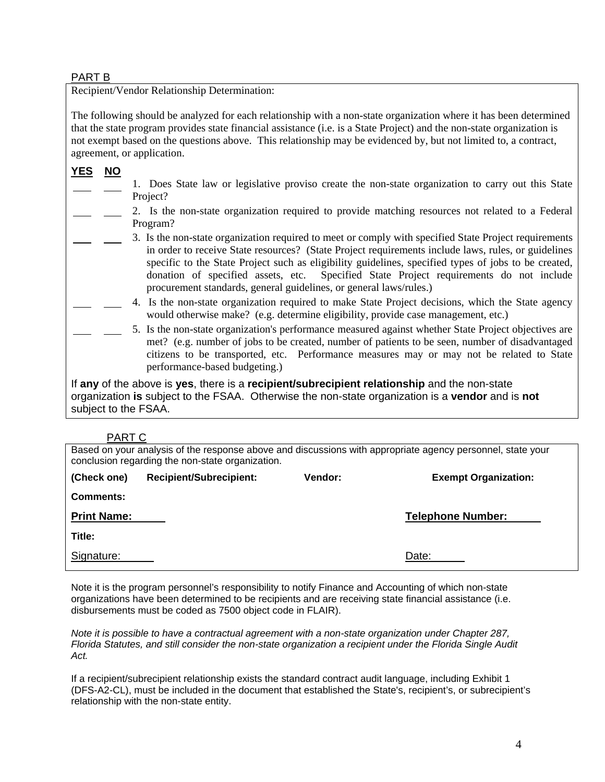#### PART B

Recipient/Vendor Relationship Determination:

The following should be analyzed for each relationship with a non-state organization where it has been determined that the state program provides state financial assistance (i.e. is a State Project) and the non-state organization is not exempt based on the questions above. This relationship may be evidenced by, but not limited to, a contract, agreement, or application.

# **YES NO**

- 1. Does State law or legislative proviso create the non-state organization to carry out this State Project?
- 2. Is the non-state organization required to provide matching resources not related to a Federal Program?
	- 3. Is the non-state organization required to meet or comply with specified State Project requirements in order to receive State resources? (State Project requirements include laws, rules, or guidelines specific to the State Project such as eligibility guidelines, specified types of jobs to be created, donation of specified assets, etc. Specified State Project requirements do not include procurement standards, general guidelines, or general laws/rules.)
		- 4. Is the non-state organization required to make State Project decisions, which the State agency would otherwise make? (e.g. determine eligibility, provide case management, etc.)
		- 5. Is the non-state organization's performance measured against whether State Project objectives are met? (e.g. number of jobs to be created, number of patients to be seen, number of disadvantaged citizens to be transported, etc. Performance measures may or may not be related to State performance-based budgeting.)

If **any** of the above is **yes**, there is a **recipient/subrecipient relationship** and the non-state organization **is** subject to the FSAA. Otherwise the non-state organization is a **vendor** and is **not** subject to the FSAA.

## PART C

Based on your analysis of the response above and discussions with appropriate agency personnel, state your conclusion regarding the non-state organization.

| (Check one)        | <b>Recipient/Subrecipient:</b> | Vendor: | <b>Exempt Organization:</b> |
|--------------------|--------------------------------|---------|-----------------------------|
| <b>Comments:</b>   |                                |         |                             |
| <b>Print Name:</b> |                                |         | <b>Telephone Number:</b>    |
| Title:             |                                |         |                             |
| Signature:         |                                |         | Date:                       |

Note it is the program personnel's responsibility to notify Finance and Accounting of which non-state organizations have been determined to be recipients and are receiving state financial assistance (i.e. disbursements must be coded as 7500 object code in FLAIR).

*Note it is possible to have a contractual agreement with a non-state organization under Chapter 287, Florida Statutes, and still consider the non-state organization a recipient under the Florida Single Audit Act.* 

If a recipient/subrecipient relationship exists the standard contract audit language, including Exhibit 1 (DFS-A2-CL), must be included in the document that established the State's, recipient's, or subrecipient's relationship with the non-state entity.